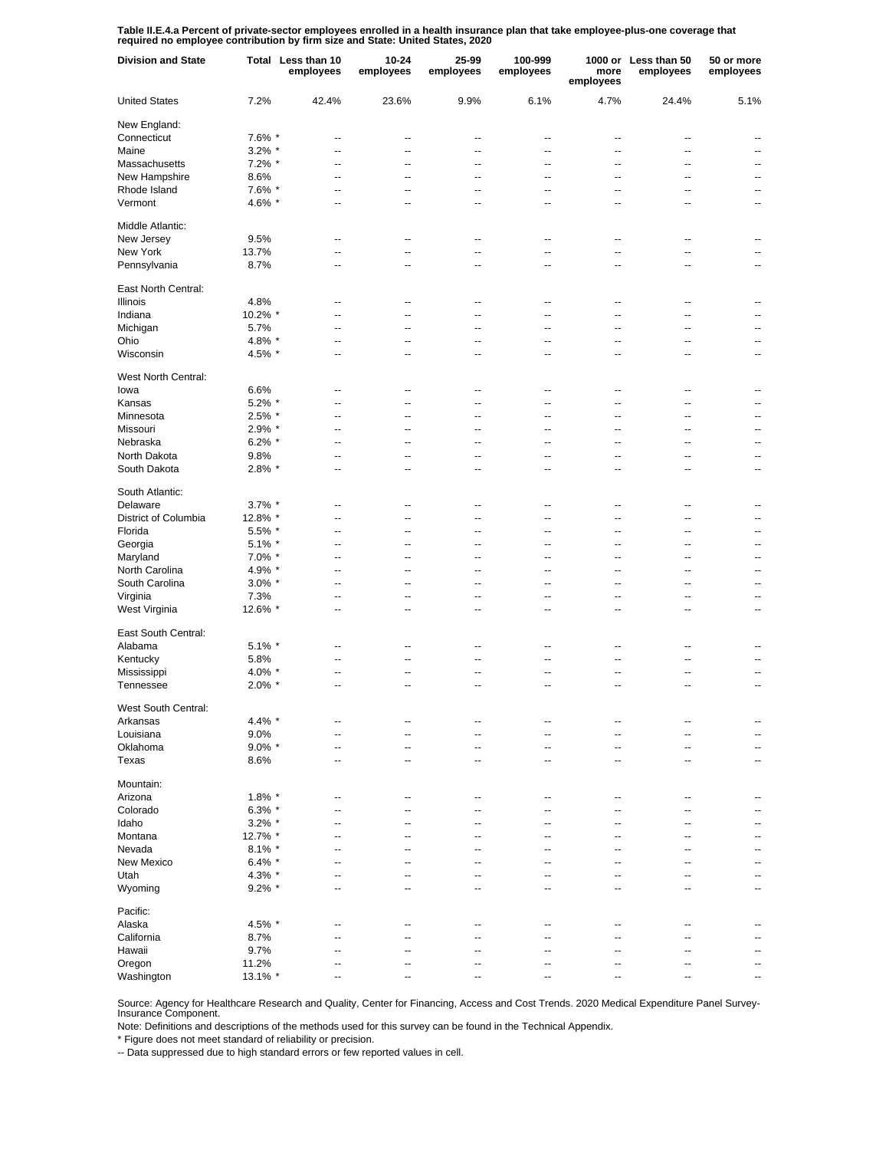**Table II.E.4.a Percent of private-sector employees enrolled in a health insurance plan that take employee-plus-one coverage that required no employee contribution by firm size and State: United States, 2020**

| <b>Division and State</b> |           | Total Less than 10<br>employees  | 10-24<br>employees               | 25-99<br>employees       | 100-999<br>employees             | more<br>employees        | 1000 or Less than 50<br>employees | 50 or more<br>employees  |
|---------------------------|-----------|----------------------------------|----------------------------------|--------------------------|----------------------------------|--------------------------|-----------------------------------|--------------------------|
| <b>United States</b>      | 7.2%      | 42.4%                            | 23.6%                            | 9.9%                     | 6.1%                             | 4.7%                     | 24.4%                             | 5.1%                     |
| New England:              |           |                                  |                                  |                          |                                  |                          |                                   |                          |
| Connecticut               | 7.6% *    | --                               | --                               | ٠.                       | ц.                               | ٠.                       | ٠.                                |                          |
| Maine                     | $3.2\%$ * | --                               | --                               | --                       | --                               | Ξ.                       | ц,                                | $\overline{a}$           |
| Massachusetts             | $7.2\%$ * | --                               | --                               | --                       | ٠.                               | ۵.                       | ۵.                                | $\overline{a}$           |
| New Hampshire             | 8.6%      | --                               | --                               | --                       | --                               | Ξ.                       | ц,                                | $\overline{a}$           |
| Rhode Island              | 7.6% *    | --                               | --                               | --                       | ٠.                               | ۵.                       | ۵.                                | --                       |
| Vermont                   | 4.6% *    | --                               | --                               | ٠.                       | ٠.                               | --                       | ٠.                                | $\overline{\phantom{a}}$ |
| Middle Atlantic:          |           |                                  |                                  |                          |                                  |                          |                                   |                          |
| New Jersey                | 9.5%      |                                  | --                               | --                       | ٠.                               | --                       | --                                |                          |
| New York                  | 13.7%     | --                               | --                               | --                       | --                               | --                       | --                                | --                       |
| Pennsylvania              | 8.7%      | --                               | ц.                               | --                       | $\overline{a}$                   | --                       | $\overline{a}$                    | --                       |
| East North Central:       |           |                                  |                                  |                          |                                  |                          |                                   |                          |
| Illinois                  | 4.8%      | $\overline{\phantom{a}}$         | --                               | --                       | $\overline{\phantom{a}}$         | $\overline{\phantom{a}}$ | $\overline{\phantom{a}}$          | $\overline{\phantom{a}}$ |
| Indiana                   | 10.2% *   | $\overline{a}$                   | $\overline{\phantom{a}}$         | $\overline{a}$           | $\overline{a}$                   | $\overline{a}$           | $\overline{a}$                    | $\overline{\phantom{a}}$ |
| Michigan                  | 5.7%      | --                               | $\overline{a}$                   | $\overline{a}$           | $\overline{a}$                   | $\overline{a}$           | $\overline{\phantom{a}}$          | $\overline{a}$           |
| Ohio                      | 4.8% *    | $\overline{\phantom{a}}$         | $\overline{\phantom{a}}$         | $\overline{a}$           | $\overline{\phantom{a}}$         | $\overline{\phantom{a}}$ | $\sim$ $\sim$                     | $\overline{\phantom{a}}$ |
| Wisconsin                 | 4.5% *    | --                               | --                               | --                       | $\overline{\phantom{a}}$         | $\overline{\phantom{a}}$ | $\overline{\phantom{a}}$          | $\overline{\phantom{a}}$ |
|                           |           |                                  |                                  |                          |                                  |                          |                                   |                          |
| West North Central:       |           |                                  |                                  |                          |                                  |                          |                                   |                          |
| lowa                      | 6.6%      | ٠.                               | ц.                               | ٠.                       | ٠.                               | --                       | --                                |                          |
| Kansas                    | $5.2\%$ * | --                               | Ξ.                               | ٠.                       | --                               | --                       | ۵.                                | $\overline{a}$           |
| Minnesota                 | 2.5% *    | --                               | ц.                               | --                       | --                               | --                       | --                                | --                       |
| Missouri                  | 2.9% *    | --                               | --                               | ٠.                       | ٠.                               | --                       | ٠.                                | --                       |
| Nebraska                  | $6.2\%$ * | --                               | ٠.                               | --                       | --                               | --                       | --                                | --                       |
| North Dakota              | 9.8%      | --                               | --                               | --                       | --                               | --                       | --                                | --                       |
| South Dakota              | 2.8% *    | --                               | --                               | --                       | --                               | Ц.                       | ц,                                | --                       |
| South Atlantic:           |           |                                  |                                  |                          |                                  |                          |                                   |                          |
| Delaware                  | $3.7\%$ * | --                               | ц.                               | --                       | --                               | --                       | --                                | --                       |
| District of Columbia      | 12.8% *   | ۵.                               | ÷-                               | --                       | --                               | --                       | --                                | --                       |
| Florida                   | 5.5% *    | ۵.                               | ц,                               | ц.                       | ۵.                               | -−                       | --                                | --                       |
|                           |           |                                  | ۵.                               |                          | $\overline{a}$                   | --                       | --                                | --                       |
| Georgia                   | $5.1\%$ * | --                               |                                  |                          |                                  |                          |                                   |                          |
| Maryland                  | $7.0\%$ * | --                               | ٠.                               | ц.                       | Ξ.                               | -−                       | ۵.                                | $\overline{a}$           |
| North Carolina            | 4.9% *    | Ξ.                               | ц,                               | ц.                       | Ξ.                               | -−                       | --                                | --                       |
| South Carolina            | $3.0\%$ * | --                               | ц.                               | --                       | $\overline{a}$                   | --                       | $\overline{a}$                    | $\overline{a}$           |
| Virginia                  | 7.3%      | --                               | --                               | $\overline{a}$           | $\overline{a}$                   | --                       | $\overline{a}$                    | --                       |
| West Virginia             | 12.6% *   | --                               | ц.                               | --                       | --                               | --                       | $\overline{a}$                    | $\overline{a}$           |
| East South Central:       |           |                                  |                                  |                          |                                  |                          |                                   |                          |
| Alabama                   | $5.1\%$ * | $\overline{\phantom{a}}$         | $\overline{\phantom{a}}$         | $\overline{\phantom{a}}$ | $\overline{\phantom{a}}$         | $\overline{\phantom{a}}$ | $\overline{\phantom{a}}$          | $\overline{\phantom{a}}$ |
| Kentucky                  | 5.8%      | --                               | --                               | --                       | $\overline{\phantom{a}}$         | --                       | --                                |                          |
| Mississippi               | 4.0% *    | --                               | --                               | $\overline{\phantom{a}}$ | $\overline{\phantom{a}}$         | --                       | $\overline{\phantom{a}}$          | $\overline{\phantom{a}}$ |
| Tennessee                 | $2.0\%$ * | --                               | --                               | $\overline{\phantom{a}}$ | --                               | $\overline{\phantom{a}}$ | $\overline{\phantom{a}}$          | $\overline{\phantom{a}}$ |
| West South Central:       |           |                                  |                                  |                          |                                  |                          |                                   |                          |
| Arkansas                  | 4.4% *    | --                               | --                               | --                       | --                               | --                       |                                   |                          |
| Louisiana                 | 9.0%      | --                               | --                               | --                       | --                               | --                       | --                                | --                       |
| Oklahoma                  | $9.0\%$ * | --                               | --                               | --                       | --                               | --                       | --                                | --                       |
| Texas                     | 8.6%      | $\overline{a}$                   | --                               | --                       | --                               | --                       | $\overline{\phantom{a}}$          | --                       |
| Mountain:                 |           |                                  |                                  |                          |                                  |                          |                                   |                          |
| Arizona                   | $1.8\%$ * | --                               | --                               | $\overline{\phantom{a}}$ | --                               | --                       | $\overline{\phantom{a}}$          |                          |
|                           |           |                                  |                                  |                          |                                  |                          |                                   |                          |
| Colorado<br>Idaho         | $6.3\%$ * | $\overline{a}$<br>$\overline{a}$ | $\overline{a}$<br>$\overline{a}$ | $\overline{a}$<br>ц.     | $\overline{a}$<br>$\overline{a}$ | --<br>--                 | $\overline{a}$<br>--              | $\overline{a}$<br>$-$    |
|                           | $3.2\%$ * |                                  |                                  |                          |                                  |                          |                                   |                          |
| Montana                   | 12.7% *   | $\overline{a}$                   | $\overline{a}$                   | $\overline{a}$           | $\overline{a}$                   | --                       | $\overline{a}$                    | $\overline{a}$           |
| Nevada                    | $8.1\%$ * | $\overline{a}$                   | ÷-                               | --                       | $\overline{a}$                   | --                       | --                                | $-$                      |
| New Mexico                | $6.4\%$ * | --                               | ц,                               | ц.                       | ц,                               | -−                       | --                                | $\overline{a}$           |
| Utah                      | 4.3% *    | ۵.                               | ц,                               | ц.                       | $\overline{a}$                   | -−                       | --                                | --                       |
| Wyoming                   | $9.2\%$ * | --                               | ц.                               | ٠.                       | --                               | --                       | ٠.                                | --                       |
| Pacific:                  |           |                                  |                                  |                          |                                  |                          |                                   |                          |
| Alaska                    | 4.5% *    | $\overline{\phantom{a}}$         | $\overline{\phantom{a}}$         | $\overline{\phantom{a}}$ | $\overline{\phantom{a}}$         | $\overline{\phantom{a}}$ | $\sim$                            | $\overline{\phantom{a}}$ |
| California                | 8.7%      | $\overline{a}$                   | $\overline{a}$                   | $\overline{a}$           | $\overline{a}$                   | $\overline{a}$           | $\overline{\phantom{a}}$          | --                       |
| Hawaii                    | 9.7%      | $\overline{\phantom{a}}$         | $\overline{\phantom{a}}$         | $\overline{a}$           | $\overline{\phantom{a}}$         | $\overline{\phantom{a}}$ | $\sim$ $\sim$                     | $\overline{\phantom{a}}$ |
| Oregon                    | 11.2%     | $\overline{\phantom{a}}$         | $\overline{\phantom{a}}$         | $\overline{a}$           | $\overline{a}$                   | $\overline{a}$           | $\overline{\phantom{a}}$          | $\overline{a}$           |
| Washington                | 13.1% *   | $\overline{\phantom{a}}$         | $\overline{\phantom{a}}$         | $\overline{\phantom{a}}$ | $\overline{\phantom{a}}$         | --                       | $\overline{\phantom{a}}$          | $\overline{\phantom{a}}$ |

Source: Agency for Healthcare Research and Quality, Center for Financing, Access and Cost Trends. 2020 Medical Expenditure Panel Survey-Insurance Component.

Note: Definitions and descriptions of the methods used for this survey can be found in the Technical Appendix.

\* Figure does not meet standard of reliability or precision.

-- Data suppressed due to high standard errors or few reported values in cell.